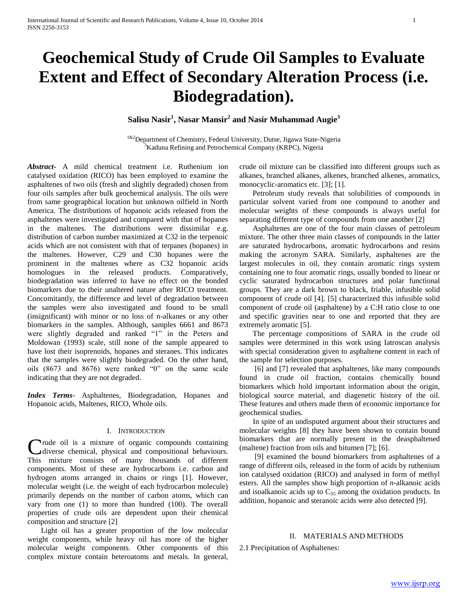# **Geochemical Study of Crude Oil Samples to Evaluate Extent and Effect of Secondary Alteration Process (i.e. Biodegradation).**

**Salisu Nasir<sup>1</sup> , Nasar Mansir<sup>2</sup> and Nasir Muhammad Augie<sup>3</sup>**

<sup>1&2</sup>Department of Chemistry, Federal University, Dutse, Jigawa State-Nigeria Kaduna Refining and Petrochemical Company (KRPC), Nigeria

*Abstract***-** A mild chemical treatment i.e. Ruthenium ion catalysed oxidation (RICO) has been employed to examine the asphaltenes of two oils (fresh and slightly degraded) chosen from four oils samples after bulk geochemical analysis. The oils were from same geographical location but unknown oilfield in North America. The distributions of hopanoic acids released from the asphaltenes were investigated and compared with that of hopanes in the maltenes. The distributions were dissimilar e.g. distribution of carbon number maximized at C32 in the terpenoic acids which are not consistent with that of terpanes (hopanes) in the maltenes. However, C29 and C30 hopanes were the prominent in the maltenes where as C32 hopanoic acids homologues in the released products. Comparatively, biodegradation was inferred to have no effect on the bonded biomarkers due to their unaltered nature after RICO treatment. Concomitantly, the difference and level of degradation between the samples were also investigated and found to be small (insignificant) with minor or no loss of n-alkanes or any other biomarkers in the samples. Although, samples 6661 and 8673 were slightly degraded and ranked "1" in the Peters and Moldowan (1993) scale, still none of the sample appeared to have lost their isoprenoids, hopanes and steranes. This indicates that the samples were slightly biodegraded. On the other hand, oils (8673 and 8676) were ranked "0" on the same scale indicating that they are not degraded.

*Index Terms*- Asphaltenes, Biodegradation, Hopanes and Hopanoic acids, Maltenes, RICO, Whole oils.

# I. INTRODUCTION

rude oil is a mixture of organic compounds containing diverse chemical, physical and compositional behaviours. Crude oil is a mixture of organic compounds containing<br>diverse chemical, physical and compositional behaviours.<br>This mixture consists of many thousands of different components. Most of these are hydrocarbons i.e. carbon and hydrogen atoms arranged in chains or rings [1]. However, molecular weight (i.e. the weight of each hydrocarbon molecule) primarily depends on the number of carbon atoms, which can vary from one (1) to more than hundred (100). The overall properties of crude oils are dependent upon their chemical composition and structure [2]

 Light oil has a greater proportion of the low molecular weight components, while heavy oil has more of the higher molecular weight components. Other components of this complex mixture contain heteroatoms and metals. In general,

crude oil mixture can be classified into different groups such as alkanes, branched alkanes, alkenes, branched alkenes, aromatics, monocyclic-aromatics etc. [3]; [1].

 Petroleum study reveals that solubilities of compounds in particular solvent varied from one compound to another and molecular weights of these compounds is always useful for separating different type of compounds from one another [2]

 Asphaltenes are one of the four main classes of petroleum mixture. The other three main classes of compounds in the latter are saturated hydrocarbons, aromatic hydrocarbons and resins making the acronym SARA. Similarly, asphaltenes are the largest molecules in oil, they contain aromatic rings system containing one to four aromatic rings, usually bonded to linear or cyclic saturated hydrocarbon structures and polar functional groups. They are a dark brown to black, friable, infusible solid component of crude oil [4]. [5] characterized this infusible solid component of crude oil (asphaltene) by a C:H ratio close to one and specific gravities near to one and reported that they are extremely aromatic [5].

 The percentage compositions of SARA in the crude oil samples were determined in this work using Iatroscan analysis with special consideration given to asphaltene content in each of the sample for selection purposes.

 [6] and [7] revealed that asphaltenes, like many compounds found in crude oil fraction, contains chemically bound biomarkers which hold important information about the origin, biological source material, and diagenetic history of the oil. These features and others made them of economic importance for geochemical studies.

 In spite of an undisputed argument about their structures and molecular weights [8] they have been shown to contain bound biomarkers that are normally present in the deasphaltened (maltene) fraction from oils and bitumen [7]; [6].

 [9] examined the bound biomarkers from asphaltenes of a range of different oils, released in the form of acids by ruthenium ion catalysed oxidation (RICO) and analysed in form of methyl esters. All the samples show high proportion of *n-*alkanoic acids and isoalkanoic acids up to  $C_{35}$  among the oxidation products. In addition, hopanoic and steranoic acids were also detected [9].

# II. MATERIALS AND METHODS

2.1 Precipitation of Asphaltenes: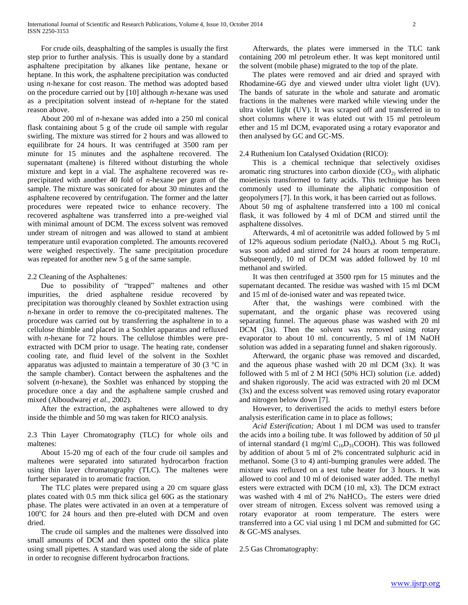For crude oils, deasphalting of the samples is usually the first step prior to further analysis. This is usually done by a standard asphaltene precipitation by alkanes like pentane, hexane or heptane. In this work, the asphaltene precipitation was conducted using *n*-hexane for cost reason. The method was adopted based on the procedure carried out by [10] although *n*-hexane was used as a precipitation solvent instead of *n*-heptane for the stated reason above.

 About 200 ml of *n*-hexane was added into a 250 ml conical flask containing about 5 g of the crude oil sample with regular swirling. The mixture was stirred for 2 hours and was allowed to equilibrate for 24 hours. It was centrifuged at 3500 ram per minute for 15 minutes and the asphaltene recovered. The supernatant (maltene) is filtered without disturbing the whole mixture and kept in a vial. The asphaltene recovered was reprecipitated with another 40 fold of *n*-hexane per gram of the sample. The mixture was sonicated for about 30 minutes and the asphaltene recovered by centrifugation. The former and the latter procedures were repeated twice to enhance recovery. The recovered asphaltene was transferred into a pre-weighed vial with minimal amount of DCM. The excess solvent was removed under stream of nitrogen and was allowed to stand at ambient temperature until evaporation completed. The amounts recovered were weighed respectively. The same precipitation procedure was repeated for another new 5 g of the same sample.

### 2.2 Cleaning of the Asphaltenes:

 Due to possibility of "trapped" maltenes and other impurities, the dried asphaltene residue recovered by precipitation was thoroughly cleaned by Soxhlet extraction using *n*-hexane in order to remove the co-precipitated maltenes. The procedure was carried out by transferring the asphaltene in to a cellulose thimble and placed in a Soxhlet apparatus and refluxed with *n*-hexane for 72 hours. The cellulose thimbles were preextracted with DCM prior to usage. The heating rate, condenser cooling rate, and fluid level of the solvent in the Soxhlet apparatus was adjusted to maintain a temperature of 30 (3 °C in the sample chamber). Contact between the asphaltenes and the solvent (*n-*hexane), the Soxhlet was enhanced by stopping the procedure once a day and the asphaltene sample crushed and mixed (Alboudwarej *et al.,* 2002).

 After the extraction, the asphaltenes were allowed to dry inside the thimble and 50 mg was taken for RICO analysis.

2.3 Thin Layer Chromatography (TLC) for whole oils and maltenes:

 About 15-20 mg of each of the four crude oil samples and maltenes were separated into saturated hydrocarbon fraction using thin layer chromatography (TLC). The maltenes were further separated in to aromatic fraction.

 The TLC plates were prepared using a 20 cm square glass plates coated with 0.5 mm thick silica gel 60G as the stationary phase. The plates were activated in an oven at a temperature of  $100^{\circ}$ C for 24 hours and then pre-eluted with DCM and oven dried.

 The crude oil samples and the maltenes were dissolved into small amounts of DCM and then spotted onto the silica plate using small pipettes. A standard was used along the side of plate in order to recognise different hydrocarbon fractions.

 Afterwards, the plates were immersed in the TLC tank containing 200 ml petroleum ether. It was kept monitored until the solvent (mobile phase) migrated to the top of the plate.

 The plates were removed and air dried and sprayed with Rhodamine-6G dye and viewed under ultra violet light (UV). The bands of saturate in the whole and saturate and aromatic fractions in the maltenes were marked while viewing under the ultra violet light (UV). It was scraped off and transferred in to short columns where it was eluted out with 15 ml petroleum ether and 15 ml DCM, evaporated using a rotary evaporator and then analysed by GC and GC-MS.

### 2.4 Ruthenium Ion Catalysed Oxidation (RICO):

 This is a chemical technique that selectively oxidises aromatic ring structures into carbon dioxide  $(CO<sub>2</sub>)$  with aliphatic moietiesis transformed to fatty acids. This technique has been commonly used to illuminate the aliphatic composition of geopolymers [7]. In this work, it has been carried out as follows. About 50 mg of asphaltene transferred into a 100 ml conical flask, it was followed by 4 ml of DCM and stirred until the asphaltene dissolves.

 Afterwards, 4 ml of acetonitrile was added followed by 5 ml of 12% aqueous sodium periodate (NaIO<sub>4</sub>). About 5 mg RuCl<sub>3</sub> was soon added and stirred for 24 hours at room temperature. Subsequently, 10 ml of DCM was added followed by 10 ml methanol and swirled.

 It was then centrifuged at 3500 rpm for 15 minutes and the supernatant decanted. The residue was washed with 15 ml DCM and 15 ml of de-ionised water and was repeated twice.

 After that, the washings were combined with the supernatant, and the organic phase was recovered using separating funnel. The aqueous phase was washed with 20 ml DCM (3x). Then the solvent was removed using rotary evaporator to about 10 ml. concurrently, 5 ml of 1M NaOH solution was added in a separating funnel and shaken rigorously.

 Afterward, the organic phase was removed and discarded, and the aqueous phase washed with  $20 \text{ ml}$  DCM  $(3x)$ . It was followed with 5 ml of 2 M HCl (50% HCl) solution (i.e. added) and shaken rigorously. The acid was extracted with 20 ml DCM (3x) and the excess solvent was removed using rotary evaporator and nitrogen below down [7].

 However, to derivertised the acids to methyl esters before analysis esterification came in to place as follows;

 *Acid Esterification;* About 1 ml DCM was used to transfer the acids into a boiling tube. It was followed by addition of 50 µl of internal standard (1 mg/ml  $C_{16}D_{31}COOH$ ). This was followed by addition of about 5 ml of 2% concentrated sulphuric acid in methanol. Some (3 to 4) anti-bumping granules were added. The mixture was refluxed on a test tube heater for 3 hours. It was allowed to cool and 10 ml of deionised water added. The methyl esters were extracted with DCM (10 ml, x3). The DCM extract was washed with 4 ml of  $2\%$  NaHCO<sub>3</sub>. The esters were dried over stream of nitrogen. Excess solvent was removed using a rotary evaporator at room temperature. The esters were transferred into a GC vial using 1 ml DCM and submitted for GC & GC-MS analyses.

2.5 Gas Chromatography: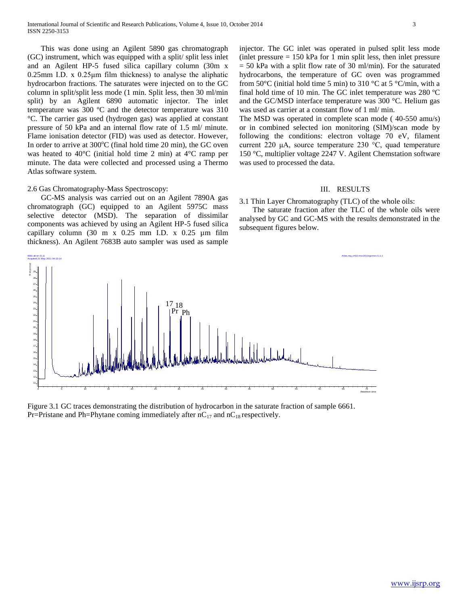This was done using an Agilent 5890 gas chromatograph (GC) instrument, which was equipped with a split/ split less inlet and an Agilent HP-5 fused silica capillary column (30m x 0.25mm I.D. x 0.25μm film thickness) to analyse the aliphatic hydrocarbon fractions. The saturates were injected on to the GC column in split/split less mode (1 min. Split less, then 30 ml/min split) by an Agilent 6890 automatic injector. The inlet temperature was 300 ºC and the detector temperature was 310 °C. The carrier gas used (hydrogen gas) was applied at constant pressure of 50 kPa and an internal flow rate of 1.5 ml/ minute. Flame ionisation detector (FID) was used as detector. However, In order to arrive at  $300^{\circ}$ C (final hold time 20 min), the GC oven was heated to 40°C (initial hold time 2 min) at 4°C ramp per minute. The data were collected and processed using a Thermo Atlas software system.

### 2.6 Gas Chromatography-Mass Spectroscopy:

 GC-MS analysis was carried out on an Agilent 7890A gas chromatograph (GC) equipped to an Agilent 5975C mass selective detector (MSD). The separation of dissimilar components was achieved by using an Agilent HP-5 fused silica capillary column (30 m x 0.25 mm I.D. x 0.25 µm film thickness). An Agilent 7683B auto sampler was used as sample

#### 6661 ali sn (5,1) Atlas,nrg\_ch02.msc2011sgcmsn,5,1,1 Acquired 21 May 2011 04:13:14

injector. The GC inlet was operated in pulsed split less mode (inlet pressure  $= 150$  kPa for 1 min split less, then inlet pressure  $= 50$  kPa with a split flow rate of 30 ml/min). For the saturated hydrocarbons, the temperature of GC oven was programmed from 50 $\rm{^{\circ}C}$  (initial hold time 5 min) to 310  $\rm{^{\circ}C}$  at 5  $\rm{^{\circ}C/min}$ , with a final hold time of 10 min. The GC inlet temperature was 280 ºC and the GC/MSD interface temperature was 300 °C. Helium gas was used as carrier at a constant flow of 1 ml/ min.

The MSD was operated in complete scan mode ( 40-550 amu/s) or in combined selected ion monitoring (SIM)/scan mode by following the conditions: electron voltage 70 eV, filament current 220 μA, source temperature 230 °C, quad temperature 150 °C, multiplier voltage 2247 V. Agilent Chemstation software was used to processed the data.

# III. RESULTS

3.1 Thin Layer Chromatography (TLC) of the whole oils:

 The saturate fraction after the TLC of the whole oils were analysed by GC and GC-MS with the results demonstrated in the subsequent figures below.



Figure 3.1 GC traces demonstrating the distribution of hydrocarbon in the saturate fraction of sample 6661. Pr=Pristane and Ph=Phytane coming immediately after  $nC_{17}$  and  $nC_{18}$  respectively.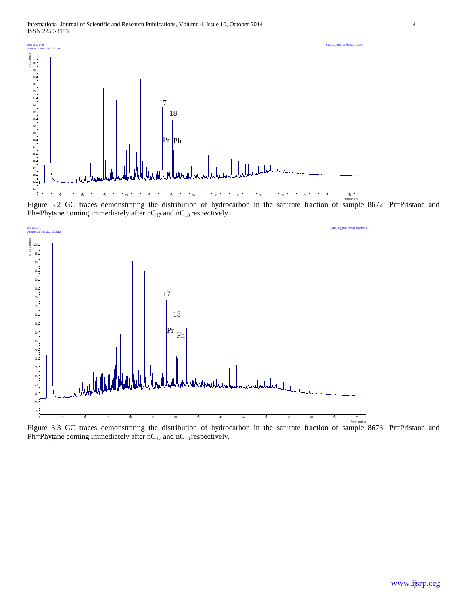![](_page_3_Figure_1.jpeg)

Figure 3.2 GC traces demonstrating the distribution of hydrocarbon in the saturate fraction of sample 8672. Pr=Pristane and Ph=Phytane coming immediately after  $nC_{17}$  and  $nC_{18}$  respectively

![](_page_3_Figure_3.jpeg)

Figure 3.3 GC traces demonstrating the distribution of hydrocarbon in the saturate fraction of sample 8673. Pr=Pristane and Ph=Phytane coming immediately after  $nC_{17}$  and  $nC_{18}$  respectively.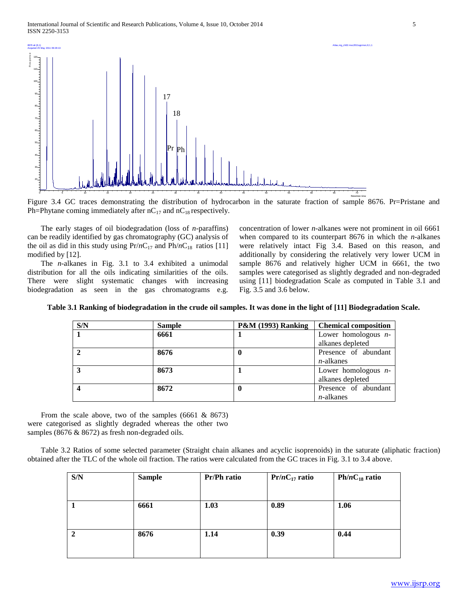![](_page_4_Figure_1.jpeg)

Figure 3.4 GC traces demonstrating the distribution of hydrocarbon in the saturate fraction of sample 8676. Pr=Pristane and Ph=Phytane coming immediately after  $nC_{17}$  and  $nC_{18}$  respectively.

 The early stages of oil biodegradation (loss of *n*-paraffins) can be readily identified by gas chromatography (GC) analysis of the oil as did in this study using  $Pr/nC_{17}$  and  $Ph/nC_{18}$  ratios [11] modified by [12].

 The *n-*alkanes in Fig. 3.1 to 3.4 exhibited a unimodal distribution for all the oils indicating similarities of the oils. There were slight systematic changes with increasing biodegradation as seen in the gas chromatograms e.g.

concentration of lower *n*-alkanes were not prominent in oil 6661 when compared to its counterpart 8676 in which the *n*-alkanes were relatively intact Fig 3.4. Based on this reason, and additionally by considering the relatively very lower UCM in sample 8676 and relatively higher UCM in 6661, the two samples were categorised as slightly degraded and non-degraded using [11] biodegradation Scale as computed in Table 3.1 and Fig. 3.5 and 3.6 below.

| S/N | <b>Sample</b> | <b>P&amp;M (1993) Ranking</b> | <b>Chemical composition</b> |
|-----|---------------|-------------------------------|-----------------------------|
|     | 6661          |                               | Lower homologous $n-$       |
|     |               |                               | alkanes depleted            |
|     | 8676          |                               | Presence of abundant        |
|     |               |                               | $n$ -alkanes                |
|     | 8673          |                               | Lower homologous $n-$       |
|     |               |                               | alkanes depleted            |
|     | 8672          |                               | Presence of abundant        |
|     |               |                               | $n$ -alkanes                |

**Table 3.1 Ranking of biodegradation in the crude oil samples. It was done in the light of [11] Biodegradation Scale.**

From the scale above, two of the samples  $(6661 \& 8673)$ were categorised as slightly degraded whereas the other two samples (8676 & 8672) as fresh non-degraded oils.

 Table 3.2 Ratios of some selected parameter (Straight chain alkanes and acyclic isoprenoids) in the saturate (aliphatic fraction) obtained after the TLC of the whole oil fraction. The ratios were calculated from the GC traces in Fig. 3.1 to 3.4 above.

| S/N          | <b>Sample</b> | <b>Pr/Ph ratio</b> | $Pr/nC_{17}$ ratio | $Ph/nC_{18}$ ratio |
|--------------|---------------|--------------------|--------------------|--------------------|
| -1           | 6661          | 1.03               | 0.89               | 1.06               |
| $\mathbf{2}$ | 8676          | 1.14               | 0.39               | 0.44               |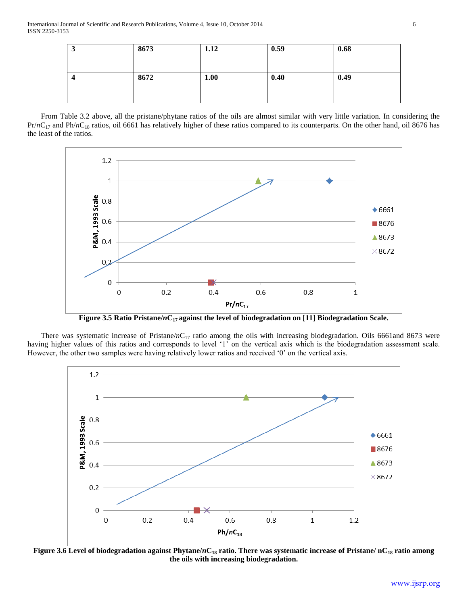| ω. | 8673 | 1.12 | 0.59 | 0.68 |
|----|------|------|------|------|
|    | 8672 | 1.00 | 0.40 | 0.49 |
|    |      |      |      |      |

 From Table 3.2 above, all the pristane/phytane ratios of the oils are almost similar with very little variation. In considering the Pr/*n*C<sub>17</sub> and Ph/*n*C<sub>18</sub> ratios, oil 6661 has relatively higher of these ratios compared to its counterparts. On the other hand, oil 8676 has the least of the ratios.

![](_page_5_Figure_3.jpeg)

**Figure 3.5 Ratio Pristane/***n***C17 against the level of biodegradation on [11] Biodegradation Scale.**

There was systematic increase of Pristane/*n*C<sub>17</sub> ratio among the oils with increasing biodegradation. Oils 6661and 8673 were having higher values of this ratios and corresponds to level "1" on the vertical axis which is the biodegradation assessment scale. However, the other two samples were having relatively lower ratios and received "0" on the vertical axis.

![](_page_5_Figure_6.jpeg)

**Figure 3.6 Level of biodegradation against Phytane/***n***C<sup>18</sup> ratio. There was systematic increase of Pristane/ nC<sup>18</sup> ratio among the oils with increasing biodegradation.**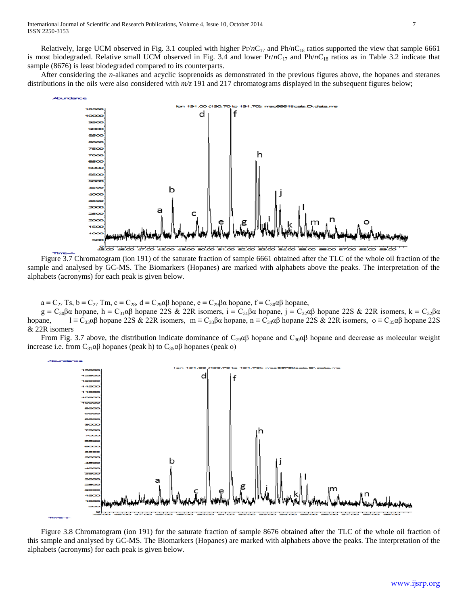Relatively, large UCM observed in Fig. 3.1 coupled with higher  $Pr/nC_{17}$  and  $Ph/nC_{18}$  ratios supported the view that sample 6661 is most biodegraded. Relative small UCM observed in Fig. 3.4 and lower  $Pr/nC_{17}$  and  $Ph/nC_{18}$  ratios as in Table 3.2 indicate that sample (8676) is least biodegraded compared to its counterparts.

 After considering the *n*-alkanes and acyclic isoprenoids as demonstrated in the previous figures above, the hopanes and steranes distributions in the oils were also considered with *m/z* 191 and 217 chromatograms displayed in the subsequent figures below;

![](_page_6_Figure_3.jpeg)

 Figure 3.7 Chromatogram (ion 191) of the saturate fraction of sample 6661 obtained after the TLC of the whole oil fraction of the sample and analysed by GC-MS. The Biomarkers (Hopanes) are marked with alphabets above the peaks. The interpretation of the alphabets (acronyms) for each peak is given below.

 $a \equiv C_{27}$  Ts,  $b \equiv C_{27}$  Tm,  $c \equiv C_{28}$ ,  $d \equiv C_{29} \alpha \beta$  hopane,  $e \equiv C_{29} \beta \alpha$  hopane,  $f \equiv C_{30} \alpha \beta$  hopane,

 $g = C_{30}\beta\alpha$  hopane, h =  $C_{31}\alpha\beta$  hopane 22S & 22R isomers,  $i = C_{31}\beta\alpha$  hopane,  $j = C_{32}\alpha\beta$  hopane 22S & 22R isomers,  $k = C_{32}\beta\alpha$ hopane, l ≡ C<sub>33</sub>αβ hopane 22S & 22R isomers, m ≡ C<sub>33</sub>βα hopane, n ≡ C<sub>34</sub>αβ hopane 22S & 22R isomers, o ≡ C<sub>35</sub>αβ hopane 22S & 22R isomers

From Fig. 3.7 above, the distribution indicate dominance of  $C_{29}\alpha\beta$  hopane and  $C_{30}\alpha\beta$  hopane and decrease as molecular weight increase i.e. from  $C_{31}αβ$  hopanes (peak h) to  $C_{35}αβ$  hopanes (peak o)

![](_page_6_Figure_8.jpeg)

 Figure 3.8 Chromatogram (ion 191) for the saturate fraction of sample 8676 obtained after the TLC of the whole oil fraction of this sample and analysed by GC-MS. The Biomarkers (Hopanes) are marked with alphabets above the peaks. The interpretation of the alphabets (acronyms) for each peak is given below.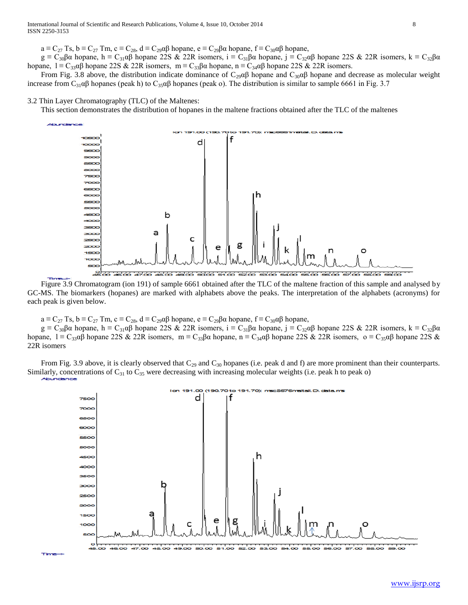$a \equiv C_{27}$  Ts,  $b \equiv C_{27}$  Tm,  $c \equiv C_{28}$ ,  $d \equiv C_{29} \alpha \beta$  hopane,  $e \equiv C_{29} \beta \alpha$  hopane,  $f \equiv C_{30} \alpha \beta$  hopane,

g =  $C_{30}$ βα hopane, h =  $C_{31}$ αβ hopane 22S & 22R isomers, i =  $C_{31}$ βα hopane, j =  $C_{32}$ αβ hopane 22S & 22R isomers, k =  $C_{32}$ βα hopane,  $l = C_{33}\alpha\beta$  hopane 22S & 22R isomers,  $m = C_{33}\beta\alpha$  hopane,  $n = C_{34}\alpha\beta$  hopane 22S & 22R isomers.

From Fig. 3.8 above, the distribution indicate dominance of C<sub>29</sub> $\alpha\beta$  hopane and C<sub>30</sub> $\alpha\beta$  hopane and decrease as molecular weight increase from  $C_{31}\alpha\beta$  hopanes (peak h) to  $C_{35}\alpha\beta$  hopanes (peak o). The distribution is similar to sample 6661 in Fig. 3.7

### 3.2 Thin Layer Chromatography (TLC) of the Maltenes:

This section demonstrates the distribution of hopanes in the maltene fractions obtained after the TLC of the maltenes

![](_page_7_Figure_7.jpeg)

 Figure 3.9 Chromatogram (ion 191) of sample 6661 obtained after the TLC of the maltene fraction of this sample and analysed by GC-MS. The biomarkers (hopanes) are marked with alphabets above the peaks. The interpretation of the alphabets (acronyms) for each peak is given below.

 $a \equiv C_{27}$  Ts,  $b \equiv C_{27}$  Tm,  $c \equiv C_{28}$ ,  $d \equiv C_{29} \alpha \beta$  hopane,  $e \equiv C_{29} \beta \alpha$  hopane,  $f \equiv C_{30} \alpha \beta$  hopane,

 $g = C_{30} \beta \alpha$  hopane,  $h = C_{31} \alpha \beta$  hopane 22S  $\alpha$  22R isomers,  $i = C_{31} \beta \alpha$  hopane,  $j = C_{32} \alpha \beta$  hopane 22S  $\alpha$  22R isomers,  $k = C_{32} \beta \alpha$ hopane,  $l = C_{33} \alpha \beta$  hopane 22S & 22R isomers, m =  $C_{33} \beta \alpha$  hopane, n =  $C_{34} \alpha \beta$  hopane 22S & 22R isomers, o =  $C_{35} \alpha \beta$  hopane 22S & 22R isomers

From Fig. 3.9 above, it is clearly observed that  $C_{29}$  and  $C_{30}$  hopanes (i.e. peak d and f) are more prominent than their counterparts. Similarly, concentrations of  $C_{31}$  to  $C_{35}$  were decreasing with increasing molecular weights (i.e. peak h to peak o)

![](_page_7_Figure_12.jpeg)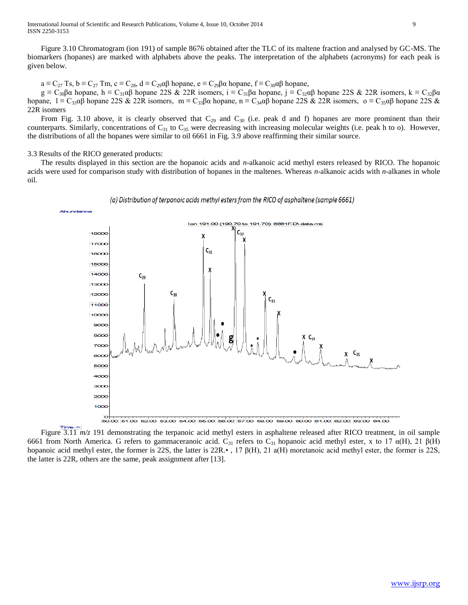Figure 3.10 Chromatogram (ion 191) of sample 8676 obtained after the TLC of its maltene fraction and analysed by GC-MS. The biomarkers (hopanes) are marked with alphabets above the peaks. The interpretation of the alphabets (acronyms) for each peak is given below.

 $a \equiv C_{27}$  Ts,  $b \equiv C_{27}$  Tm,  $c \equiv C_{28}$ ,  $d \equiv C_{29} \alpha \beta$  hopane,  $e \equiv C_{29} \beta \alpha$  hopane,  $f \equiv C_{30} \alpha \beta$  hopane,

 $g \equiv C_{30}\beta\alpha$  hopane, h  $\equiv C_{31}\alpha\beta$  hopane 22S & 22R isomers,  $i \equiv C_{31}\beta\alpha$  hopane,  $j \equiv C_{32}\alpha\beta$  hopane 22S & 22R isomers,  $k \equiv C_{32}\beta\alpha$ hopane,  $l = C_{33}\alpha\beta$  hopane 22S & 22R isomers, m =  $C_{33}\beta\alpha$  hopane, n =  $C_{34}\alpha\beta$  hopane 22S & 22R isomers, o =  $C_{35}\alpha\beta$  hopane 22S & 22R isomers

From Fig. 3.10 above, it is clearly observed that  $C_{29}$  and  $C_{30}$  (i.e. peak d and f) hopanes are more prominent than their counterparts. Similarly, concentrations of  $C_{31}$  to  $C_{35}$  were decreasing with increasing molecular weights (i.e. peak h to o). However, the distributions of all the hopanes were similar to oil 6661 in Fig. 3.9 above reaffirming their similar source.

# 3.3 Results of the RICO generated products:

 The results displayed in this section are the hopanoic acids and *n*-alkanoic acid methyl esters released by RICO. The hopanoic acids were used for comparison study with distribution of hopanes in the maltenes. Whereas *n*-alkanoic acids with *n*-alkanes in whole oil.

![](_page_8_Figure_7.jpeg)

(a) Distribution of terpanoic acids methyl esters from the RICO of asphaltene (sample 6661)

Figure 3.11  $m/z$  191 demonstrating the terpanoic acid methyl esters in asphaltene released after RICO treatment, in oil sample 6661 from North America. G refers to gammaceranoic acid. C<sub>31</sub> refers to C<sub>31</sub> hopanoic acid methyl ester, x to 17 α(H), 21 β(H) hopanoic acid methyl ester, the former is 22S, the latter is 22R.• , 17 β(H), 21 a(H) moretanoic acid methyl ester, the former is 22S, the latter is 22R, others are the same, peak assignment after [13].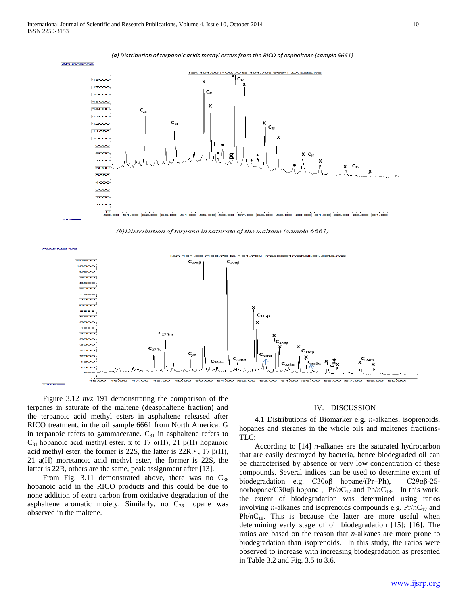![](_page_9_Figure_1.jpeg)

(a) Distribution of terpanoic acids methyl esters from the RICO of asphaltene (sample 6661)

![](_page_9_Figure_3.jpeg)

![](_page_9_Figure_4.jpeg)

 Figure 3.12 *m/z* 191 demonstrating the comparison of the terpanes in saturate of the maltene (deasphaltene fraction) and the terpanoic acid methyl esters in asphaltene released after RICO treatment, in the oil sample 6661 from North America. G in terpanoic refers to gammacerane.  $C_{31}$  in asphaltene refers to C<sub>31</sub> hopanoic acid methyl ester, x to 17  $\alpha$ (H), 21 β(H) hopanoic acid methyl ester, the former is 22S, the latter is  $22R.\bullet$ , 17  $\beta(H)$ , 21 a(H) moretanoic acid methyl ester, the former is 22S, the latter is 22R, others are the same, peak assignment after [13].

From Fig. 3.11 demonstrated above, there was no  $C_{36}$ hopanoic acid in the RICO products and this could be due to none addition of extra carbon from oxidative degradation of the asphaltene aromatic moiety. Similarly, no  $C_{36}$  hopane was observed in the maltene.

## IV. DISCUSSION

 4.1 Distributions of Biomarker e.g. *n-*alkanes, isoprenoids, hopanes and steranes in the whole oils and maltenes fractions-TLC:

 According to [14] *n*-alkanes are the saturated hydrocarbon that are easily destroyed by bacteria, hence biodegraded oil can be characterised by absence or very low concentration of these compounds. Several indices can be used to determine extent of biodegradation e.g. C30αβ hopane/(Pr+Ph), C29αβ-25 norhopane/C30αβ hopane, Pr/*n*C<sub>17</sub> and Ph/*n*C<sub>18</sub>. In this work, the extent of biodegradation was determined using ratios involving *n*-alkanes and isoprenoids compounds e.g.  $Pr/nC_{17}$  and  $Ph/nC_{18}$ . This is because the latter are more useful when determining early stage of oil biodegradation [15]; [16]. The ratios are based on the reason that *n*-alkanes are more prone to biodegradation than isoprenoids. In this study, the ratios were observed to increase with increasing biodegradation as presented in Table 3.2 and Fig. 3.5 to 3.6.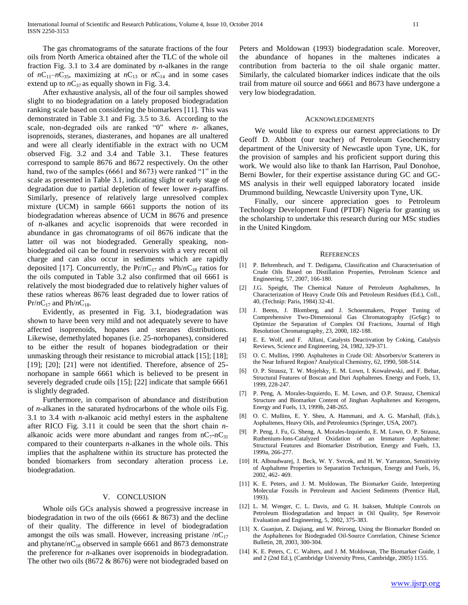The gas chromatograms of the saturate fractions of the four oils from North America obtained after the TLC of the whole oil fraction Fig. 3.1 to 3.4 are dominated by *n*-alkanes in the range of  $nC_{11}-nC_{35}$ , maximizing at  $nC_{13}$  or  $nC_{14}$  and in some cases extend up to  $nC_{37}$  as equally shown in Fig. 3.4.

 After exhaustive analysis, all of the four oil samples showed slight to no biodegradation on a lately proposed biodegradation ranking scale based on considering the biomarkers [11]. This was demonstrated in Table 3.1 and Fig. 3.5 to 3.6. According to the scale, non-degraded oils are ranked "0" where *n-* alkanes, isoprenoids, steranes, diasteranes, and hopanes are all unaltered and were all clearly identifiable in the extract with no UCM observed Fig. 3.2 and 3.4 and Table 3.1. These features correspond to sample 8676 and 8672 respectively. On the other hand, two of the samples (6661 and 8673) were ranked "1" in the scale as presented in Table 3.1, indicating slight or early stage of degradation due to partial depletion of fewer lower *n*-paraffins. Similarly, presence of relatively large unresolved complex mixture (UCM) in sample 6661 supports the notion of its biodegradation whereas absence of UCM in 8676 and presence of *n-*alkanes and acyclic isoprenoids that were recorded in abundance in gas chromatograms of oil 8676 indicate that the latter oil was not biodegraded. Generally speaking, nonbiodegraded oil can be found in reservoirs with a very recent oil charge and can also occur in sediments which are rapidly deposited [17]. Concurrently, the  $Pr/nC_{17}$  and  $Ph/nC_{18}$  ratios for the oils computed in Table 3.2 also confirmed that oil 6661 is relatively the most biodegraded due to relatively higher values of these ratios whereas 8676 least degraded due to lower ratios of  $Pr/nC_{17}$  and  $Ph/nC_{18}$ .

 Evidently, as presented in Fig. 3.1, biodegradation was shown to have been very mild and not adequately severe to have affected isoprenoids, hopanes and steranes distributions. Likewise, demethylated hopanes (i.e. 25-norhopanes), considered to be either the result of hopanes biodegradation or their unmasking through their resistance to microbial attack [15]; [18]; [19]; [20]; [21] were not identified. Therefore, absence of 25norhopane in sample 6661 which is believed to be present in severely degraded crude oils [15]; [22] indicate that sample 6661 is slightly degraded.

 Furthermore, in comparison of abundance and distribution of *n-*alkanes in the saturated hydrocarbons of the whole oils Fig. 3.1 to 3.4 with *n*-alkanoic acid methyl esters in the asphaltene after RICO Fig. 3.11 it could be seen that the short chain *n*alkanoic acids were more abundant and ranges from  $nC_7-nC_{31}$ compared to their counterparts *n*-alkanes in the whole oils. This implies that the asphaltene within its structure has protected the bonded biomarkers from secondary alteration process i.e. biodegradation.

### V. CONCLUSION

 Whole oils GCs analysis showed a progressive increase in biodegradation in two of the oils (6661 & 8673) and the decline of their quality. The difference in level of biodegradation amongst the oils was small. However, increasing pristane  $/nC_{17}$ and phytane/ $nC_{18}$  observed in sample 6661 and 8673 demonstrate the preference for *n*-alkanes over isoprenoids in biodegradation. The other two oils (8672 & 8676) were not biodegraded based on

Peters and Moldowan (1993) biodegradation scale. Moreover, the abundance of hopanes in the maltenes indicates a contribution from bacteria to the oil shale organic matter. Similarly, the calculated biomarker indices indicate that the oils trail from mature oil source and 6661 and 8673 have undergone a very low biodegradation.

#### ACKNOWLEDGEMENTS

 We would like to express our earnest appreciations to Dr Geoff D. Abbott (our teacher) of Petroleum Geochemistry department of the University of Newcastle upon Tyne, UK, for the provision of samples and his proficient support during this work. We would also like to thank Ian Harrison, Paul Donohoe, Berni Bowler, for their expertise assistance during GC and GC-MS analysis in their well equipped laboratory located inside Drummond building, Newcastle University upon Tyne, UK.

 Finally, our sincere appreciation goes to Petroleum Technology Development Fund (PTDF) Nigeria for granting us the scholarship to undertake this research during our MSc studies in the United Kingdom.

#### **REFERENCES**

- [1] P. Behrenbruch, and T. Dedigama, Classification and Characterisation of Crude Oils Based on Distillation Properties, Petroleum Science and Engineering, 57, 2007, 166-180.
- [2] J.G. Speight, The Chemical Nature of Petroleum Asphaltenes, In Characterization of Heavy Crude Oils and Petroleum Residues (Ed.), Coll., 40, (Technip: Paris, 1984) 32-41.
- [3] J. Beens, J. Blomberg, and J. Schoenmakers, Proper Tuning of Comprehensive Two-Dimensional Gas Chromatography (Gc6gc) to Optimize the Separation of Complex Oil Fractions, Journal of High Resolution Chromatography, 23, 2000, 182-188.
- [4] E. E. Wolf, and F. Alfani, Catalysts Deactivation by Coking, Catalysis Reviews, Science and Engineering, 24, 1982, 329-371.
- [5] O. C. Mullins, 1990. Asphaltenes in Crude Oil: Absorbers/or Scatterers in the Near Infrared Region? Analytical Chemistry, 62, 1990, 508-514.
- [6] O. P. Strausz, T. W. Mojelsky, E. M. Lown, I. Kowalewski, and F. Behar, Structural Features of Boscan and Duri Asphaltenes. Energy and Fuels, 13, 1999, 228-247.
- [7] P. Peng, A. Morales-Izquierdo, E. M. Lown, and O.P. Strausz, Chemical Structure and Biomarker Content of Jinghan Asphaltenes and Kerogens, Energy and Fuels, 13, 1999b, 248-265.
- [8] O. C. Mullins, E. Y. Sheu, A. Hammani, and A. G. Marshall, (Eds.), Asphaltenes, Heavy Oils, and Petroleumics (Springer, USA, 2007).
- [9] P. Peng, J. Fu, G. Sheng, A. Morales-Izquierdo, E. M. Lown, O. P. Strausz, Ruthenium-Ions-Catalyzed Oxidation of an Immature Asphaltene: Structural Features and Biomarker Distribution, Energy and Fuels, 13, 1999a, 266-277.
- [10] H. Alboudwarej, J. Beck, W. Y. Svrcek, and H. W. Yarranton, Sensitivity of Asphaltene Properties to Separation Techniques, Energy and Fuels, 16, 2002, 462- 469.
- [11] K. E. Peters, and J. M. Moldowan, The Biomarker Guide, Interpreting Molecular Fossils in Petroleum and Ancient Sediments (Prentice Hall, 1993).
- [12] L. M. Wenger, C. L. Davis, and G. H. Isaksen, Multiple Controls on Petroleum Biodegradation and Impact in Oil Quality, Spe Reservoir Evaluation and Engineering, 5, 2002, 375-383.
- [13] X. Guanjun, Z. Dajiang, and W. Peirong, Using the Biomarker Bonded on the Asphaltenes for Biodegraded Oil-Source Correlation, Chinese Science Bulletin, 28, 2003, 300-304.
- [14] K. E. Peters, C. C. Walters, and J. M. Moldowan, The Biomarker Guide, 1 and 2 (2nd Ed.), (Cambridge University Press, Cambridge, 2005) 1155.